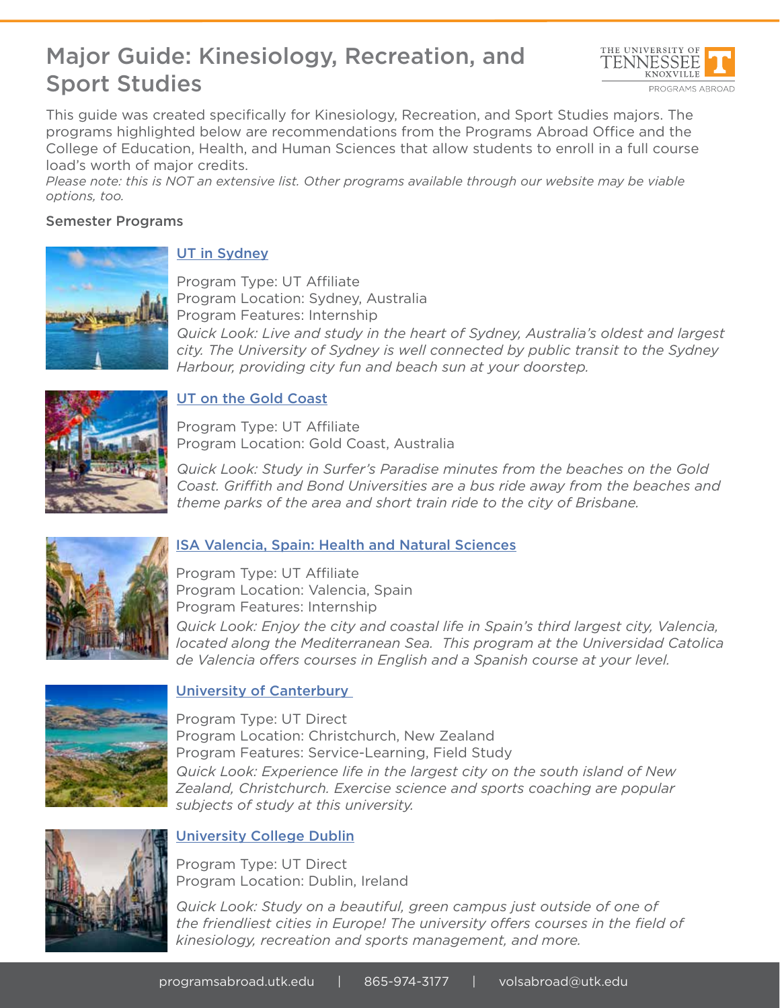# Major Guide: Kinesiology, Recreation, and Sport Studies



This guide was created specifically for Kinesiology, Recreation, and Sport Studies majors. The programs highlighted below are recommendations from the Programs Abroad Office and the College of Education, Health, and Human Sciences that allow students to enroll in a full course load's worth of major credits.

*Please note: this is NOT an extensive list. Other programs available through our website may be viable options, too.*

### Semester Programs



## UT in Sydney

Program Type: UT Affiliate Program Location: Sydney, Australia Program Features: Internship *Quick Look: Live and study in the heart of Sydney, Australia's oldest and largest city. The University of Sydney is well connected by public transit to the Sydney Harbour, providing city fun and beach sun at your doorstep.* 



## UT on the Gold Coast

Program Type: UT Affiliate Program Location: Gold Coast, Australia

*Quick Look: Study in Surfer's Paradise minutes from the beaches on the Gold Coast. Griffith and Bond Universities are a bus ride away from the beaches and theme parks of the area and short train ride to the city of Brisbane.* 



### ISA Valencia, Spain: Health and Natural Sciences

Program Type: UT Affiliate Program Location: Valencia, Spain Program Features: Internship *Quick Look: Enjoy the city and coastal life in Spain's third largest city, Valencia, located along the Mediterranean Sea. This program at the Universidad Catolica de Valencia offers courses in English and a Spanish course at your level.* 



### University of Canterbury

Program Type: UT Direct Program Location: Christchurch, New Zealand Program Features: Service-Learning, Field Study *Quick Look: Experience life in the largest city on the south island of New Zealand, Christchurch. Exercise science and sports coaching are popular subjects of study at this university.*



### University College Dublin

Program Type: UT Direct Program Location: Dublin, Ireland

*Quick Look: Study on a beautiful, green campus just outside of one of the friendliest cities in Europe! The university offers courses in the field of kinesiology, recreation and sports management, and more.*